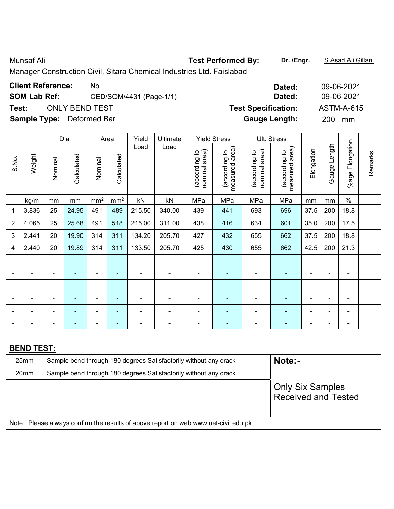Munsaf Ali **Test Performed By: Dr. /Engr.** S.Asad Ali Gillani

Manager Construction Civil, Sitara Chemical Industries Ltd. Faislabad

| <b>Client Reference:</b>         | No.                     | Dated:                     | 09-06-2021 |
|----------------------------------|-------------------------|----------------------------|------------|
| <b>SOM Lab Ref:</b>              | CED/SOM/4431 (Page-1/1) | Dated:                     | 09-06-2021 |
| Test:                            | <b>ONLY BEND TEST</b>   | <b>Test Specification:</b> | ASTM-A-615 |
| <b>Sample Type:</b> Deformed Bar |                         | <b>Gauge Length:</b>       | 200<br>mm  |

|                          |                   |                | Dia.           |                 | Area            | Yield                    | Ultimate                                                         | <b>Yield Stress</b>            |                                 |                                | Ult. Stress                     |                          |                |                          |         |
|--------------------------|-------------------|----------------|----------------|-----------------|-----------------|--------------------------|------------------------------------------------------------------|--------------------------------|---------------------------------|--------------------------------|---------------------------------|--------------------------|----------------|--------------------------|---------|
| S.No.                    | Weight            | Nominal        | Calculated     | Nominal         | Calculated      | Load                     | Load                                                             | nominal area)<br>(according to | measured area)<br>(according to | nominal area)<br>(according to | measured area)<br>(according to | Elongation               | Gauge Length   | %age Elongation          | Remarks |
|                          | kg/m              | mm             | mm             | mm <sup>2</sup> | mm <sup>2</sup> | kN                       | kN                                                               | MPa                            | MPa                             | MPa                            | MPa                             | mm                       | mm             | $\%$                     |         |
| 1                        | 3.836             | 25             | 24.95          | 491             | 489             | 215.50                   | 340.00                                                           | 439                            | 441                             | 693                            | 696                             | 37.5                     | 200            | 18.8                     |         |
| $\overline{2}$           | 4.065             | 25             | 25.68          | 491             | 518             | 215.00                   | 311.00                                                           | 438                            | 416                             | 634                            | 601                             | 35.0                     | 200            | 17.5                     |         |
| 3                        | 2.441             | 20             | 19.90          | 314             | 311             | 134.20                   | 205.70                                                           | 427                            | 432                             | 655                            | 662                             | 37.5                     | 200            | 18.8                     |         |
| 4                        | 2.440             | 20             | 19.89          | 314             | 311             | 133.50                   | 205.70                                                           | 425                            | 430                             | 655                            | 662                             | 42.5                     | 200            | 21.3                     |         |
|                          |                   |                |                | ÷               | $\blacksquare$  |                          |                                                                  | $\blacksquare$                 | ۰                               | ۰                              |                                 |                          |                |                          |         |
| $\overline{\phantom{0}}$ |                   | $\blacksquare$ | ÷              | $\blacksquare$  | $\blacksquare$  | $\blacksquare$           | $\blacksquare$                                                   | $\blacksquare$                 | $\blacksquare$                  | ÷,                             | $\blacksquare$                  | $\blacksquare$           | $\blacksquare$ | $\blacksquare$           |         |
|                          | ä,                | ۰              | $\blacksquare$ | $\blacksquare$  | $\blacksquare$  | $\blacksquare$           |                                                                  | $\blacksquare$                 | ۰                               | ÷,                             | ÷                               | ٠                        | $\blacksquare$ | $\blacksquare$           |         |
|                          |                   |                |                |                 |                 |                          |                                                                  |                                |                                 |                                |                                 |                          |                |                          |         |
| $\overline{\phantom{0}}$ |                   | ۰              | ۰              | ÷               | $\blacksquare$  | $\blacksquare$           |                                                                  | $\blacksquare$                 | $\overline{\phantom{0}}$        |                                |                                 | $\overline{\phantom{0}}$ | $\blacksquare$ | $\blacksquare$           |         |
|                          |                   | $\blacksquare$ |                | $\blacksquare$  | ٠               | $\overline{\phantom{0}}$ | $\blacksquare$                                                   | $\qquad \qquad \blacksquare$   | ۰                               | ÷                              |                                 |                          | $\overline{a}$ | $\overline{\phantom{a}}$ |         |
|                          |                   |                |                |                 |                 |                          |                                                                  |                                |                                 |                                |                                 |                          |                |                          |         |
|                          | <b>BEND TEST:</b> |                |                |                 |                 |                          |                                                                  |                                |                                 |                                |                                 |                          |                |                          |         |
|                          | 25mm              |                |                |                 |                 |                          | Sample bend through 180 degrees Satisfactorily without any crack |                                |                                 |                                | Note:-                          |                          |                |                          |         |
|                          | 20mm              |                |                |                 |                 |                          | Sample bend through 180 degrees Satisfactorily without any crack |                                |                                 |                                |                                 |                          |                |                          |         |
|                          |                   |                |                |                 |                 |                          |                                                                  |                                |                                 |                                | <b>Only Six Samples</b>         |                          |                |                          |         |
|                          |                   |                |                |                 |                 |                          |                                                                  |                                |                                 |                                | <b>Received and Tested</b>      |                          |                |                          |         |
|                          |                   |                |                |                 |                 |                          |                                                                  |                                |                                 |                                |                                 |                          |                |                          |         |

Note: Please always confirm the results of above report on web www.uet-civil.edu.pk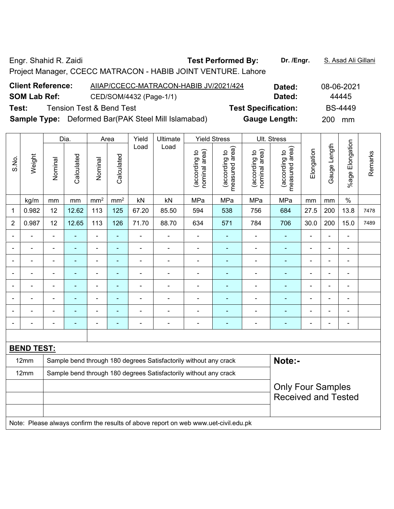Engr. Shahid R. Zaidi **Test Performed By: Dr. /Engr.** S. Asad Ali Gillani Project Manager, CCECC MATRACON - HABIB JOINT VENTURE. Lahore **Client Reference:** AIIAP/CCECC-MATRACON-HABIB JV/2021/424 **Dated:** 08-06-2021 **SOM Lab Ref:** CED/SOM/4432 (Page-1/1) **Dated:** 244445 **Test:** Tension Test & Bend Test **Test Specification:** BS-4449 **Sample Type:** Deformed Bar(PAK Steel Mill Islamabad) **Gauge Length:** 200 mm

|                |                   |                | Dia.           |                 | Area            | Yield          | Ultimate                                                         |                                | <b>Yield Stress</b>             |                                | Ult. Stress                        |                |                |                 |         |
|----------------|-------------------|----------------|----------------|-----------------|-----------------|----------------|------------------------------------------------------------------|--------------------------------|---------------------------------|--------------------------------|------------------------------------|----------------|----------------|-----------------|---------|
| S.No.          | Weight            | Nominal        | Calculated     | Nominal         | Calculated      | Load           | Load                                                             | nominal area)<br>(according to | measured area)<br>(according to | nominal area)<br>(according to | area)<br>(according to<br>measured | Elongation     | Gauge Length   | %age Elongation | Remarks |
|                | kg/m              | mm             | $\,mm$         | mm <sup>2</sup> | mm <sup>2</sup> | kN             | kN                                                               | MPa                            | MPa                             | MPa                            | MPa                                | mm             | mm             | $\%$            |         |
| 1              | 0.982             | 12             | 12.62          | 113             | 125             | 67.20          | 85.50                                                            | 594                            | 538                             | 756                            | 684                                | 27.5           | 200            | 13.8            | 7478    |
| $\overline{2}$ | 0.987             | 12             | 12.65          | 113             | 126             | 71.70          | 88.70                                                            | 634                            | 571                             | 784                            | 706                                | 30.0           | 200            | 15.0            | 7489    |
|                |                   |                |                | $\blacksquare$  | ä,              |                | $\blacksquare$                                                   | $\blacksquare$                 | $\blacksquare$                  | $\qquad \qquad \blacksquare$   | ÷,                                 | $\blacksquare$ | ä,             | $\blacksquare$  |         |
|                |                   |                | ÷              | ÷               | $\blacksquare$  | $\blacksquare$ | ÷                                                                | ۰                              |                                 | ۰                              | ٠                                  | Ē,             | $\blacksquare$ | $\blacksquare$  |         |
| ۰              |                   | $\blacksquare$ | ÷              | $\blacksquare$  | ٠               | $\blacksquare$ | $\overline{a}$                                                   | ۰                              | $\blacksquare$                  | $\overline{\phantom{a}}$       | ÷                                  | $\blacksquare$ | $\blacksquare$ | $\blacksquare$  |         |
| ۰              | ۳                 | $\blacksquare$ | $\blacksquare$ | $\blacksquare$  | $\blacksquare$  | ä,             | $\blacksquare$                                                   | $\blacksquare$                 | $\blacksquare$                  | $\blacksquare$                 | $\blacksquare$                     | $\blacksquare$ | $\blacksquare$ | $\blacksquare$  |         |
|                |                   | $\blacksquare$ | ÷              | $\blacksquare$  | $\blacksquare$  | $\blacksquare$ | $\blacksquare$                                                   | $\blacksquare$                 | $\blacksquare$                  | $\blacksquare$                 | $\blacksquare$                     |                | $\blacksquare$ | $\blacksquare$  |         |
| ۰              |                   | $\blacksquare$ |                | ÷               |                 | Ē,             | ÷                                                                | ۰                              |                                 | ۰                              | Ē.                                 |                | $\blacksquare$ | $\blacksquare$  |         |
| $\blacksquare$ |                   | $\blacksquare$ | ÷,             | $\blacksquare$  | $\blacksquare$  | $\blacksquare$ | ÷                                                                | $\blacksquare$                 | $\blacksquare$                  | $\blacksquare$                 | ٠                                  | $\blacksquare$ | $\blacksquare$ | $\blacksquare$  |         |
| $\blacksquare$ |                   | $\blacksquare$ | ÷              | ÷               | $\blacksquare$  | $\blacksquare$ | $\overline{a}$                                                   | ۰                              | $\blacksquare$                  | $\overline{\phantom{a}}$       | ÷                                  | $\blacksquare$ | $\blacksquare$ | $\blacksquare$  |         |
|                |                   |                |                |                 |                 |                |                                                                  |                                |                                 |                                |                                    |                |                |                 |         |
|                | <b>BEND TEST:</b> |                |                |                 |                 |                |                                                                  |                                |                                 |                                |                                    |                |                |                 |         |
|                | 12mm              |                |                |                 |                 |                | Sample bend through 180 degrees Satisfactorily without any crack |                                |                                 |                                | Note:-                             |                |                |                 |         |
|                | 12mm              |                |                |                 |                 |                | Sample bend through 180 degrees Satisfactorily without any crack |                                |                                 |                                |                                    |                |                |                 |         |
|                |                   |                |                |                 |                 |                |                                                                  |                                |                                 |                                | <b>Only Four Samples</b>           |                |                |                 |         |
|                |                   |                |                |                 |                 |                |                                                                  |                                |                                 |                                | <b>Received and Tested</b>         |                |                |                 |         |
|                |                   |                |                |                 |                 |                |                                                                  |                                |                                 |                                |                                    |                |                |                 |         |
|                |                   |                |                |                 |                 |                |                                                                  |                                |                                 |                                |                                    |                |                |                 |         |

Note: Please always confirm the results of above report on web www.uet-civil.edu.pk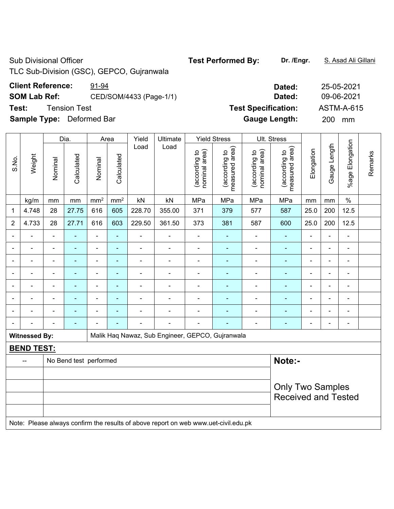Sub Divisional Officer **Test Performed By:** Dr. /Engr. **S. Asad Ali Gillani** Sub Divisional Officer

TLC Sub-Division (GSC), GEPCO, Gujranwala

# **Client Reference:** 91-94

**SOM Lab Ref: CED/SOM/4433 (Page-1/1)** 

**Test:** Tension Test **Text Specification: <b>Text** Specification: **Text** Specification: **Text** Specification: **Text** Specification: **Text** Specification: **Text** Specification: **Text** Specification: **Text** Specification: **Tex** 

**Sample Type:** Deformed Bar

|                          |                      | Dia.<br>Yield<br>Ultimate<br><b>Yield Stress</b><br>Ult. Stress<br>Area |                        |                          |                 |                |                                                                                     |                                |                                 |                                |                                 |                |                |                 |         |
|--------------------------|----------------------|-------------------------------------------------------------------------|------------------------|--------------------------|-----------------|----------------|-------------------------------------------------------------------------------------|--------------------------------|---------------------------------|--------------------------------|---------------------------------|----------------|----------------|-----------------|---------|
| S.No.                    | Weight               | Nominal                                                                 | Calculated             | Nominal                  | Calculated      | Load           | Load                                                                                | nominal area)<br>(according to | measured area)<br>(according to | nominal area)<br>(according to | measured area)<br>(according to | Elongation     | Gauge Length   | %age Elongation | Remarks |
|                          | kg/m                 | mm                                                                      | mm                     | $\underline{mm}^2$       | mm <sup>2</sup> | kN             | kN                                                                                  | MPa                            | MPa                             | MPa                            | MPa                             | mm             | mm             | $\%$            |         |
| 1                        | 4.748                | 28                                                                      | 27.75                  | 616                      | 605             | 228.70         | 355.00                                                                              | 371                            | 379                             | 577                            | 587                             | 25.0           | 200            | 12.5            |         |
| 2                        | 4.733                | 28                                                                      | 27.71                  | 616                      | 603             | 229.50         | 361.50                                                                              | 373                            | 381                             | 587                            | 600                             | 25.0           | 200            | 12.5            |         |
|                          |                      | L.                                                                      |                        | $\blacksquare$           | ä,              |                | $\blacksquare$                                                                      | $\blacksquare$                 |                                 | ä,                             | ä,                              |                | $\blacksquare$ |                 |         |
|                          |                      | $\blacksquare$                                                          |                        | $\blacksquare$           | ۰               |                | $\overline{\phantom{a}}$                                                            | $\blacksquare$                 | ۰                               | ÷                              | $\blacksquare$                  | $\blacksquare$ |                | $\blacksquare$  |         |
| $\blacksquare$           |                      | $\blacksquare$                                                          |                        | $\overline{\phantom{0}}$ | ÷               |                | $\blacksquare$                                                                      |                                | ÷                               |                                | $\blacksquare$                  |                |                | $\blacksquare$  |         |
| $\overline{\phantom{0}}$ |                      | $\blacksquare$                                                          |                        | $\blacksquare$           | $\blacksquare$  |                | $\overline{\phantom{0}}$                                                            | $\blacksquare$                 | $\overline{\phantom{0}}$        | ÷                              | $\overline{\phantom{a}}$        | $\blacksquare$ | $\blacksquare$ | $\blacksquare$  |         |
|                          |                      | $\overline{a}$                                                          |                        | $\blacksquare$           | $\blacksquare$  | $\blacksquare$ | $\blacksquare$                                                                      | $\qquad \qquad \blacksquare$   | ٠                               | ÷                              | $\blacksquare$                  | $\blacksquare$ | $\blacksquare$ | $\blacksquare$  |         |
|                          |                      | $\blacksquare$                                                          | $\blacksquare$         | $\blacksquare$           | ۰               |                | $\blacksquare$                                                                      | $\blacksquare$                 | ۰                               | ÷                              | $\blacksquare$                  | ÷              | $\blacksquare$ | $\blacksquare$  |         |
|                          |                      | ä,                                                                      |                        | $\blacksquare$           |                 |                | $\blacksquare$                                                                      |                                |                                 | ä,                             | $\blacksquare$                  | $\blacksquare$ | $\blacksquare$ |                 |         |
|                          |                      |                                                                         |                        |                          |                 |                |                                                                                     |                                |                                 |                                |                                 |                |                |                 |         |
|                          | <b>Witnessed By:</b> |                                                                         |                        |                          |                 |                | Malik Haq Nawaz, Sub Engineer, GEPCO, Gujranwala                                    |                                |                                 |                                |                                 |                |                |                 |         |
|                          | <b>BEND TEST:</b>    |                                                                         |                        |                          |                 |                |                                                                                     |                                |                                 |                                |                                 |                |                |                 |         |
|                          | --                   |                                                                         | No Bend test performed |                          |                 |                |                                                                                     |                                |                                 |                                | Note:-                          |                |                |                 |         |
|                          |                      |                                                                         |                        |                          |                 |                |                                                                                     |                                |                                 |                                |                                 |                |                |                 |         |
|                          |                      |                                                                         |                        |                          |                 |                |                                                                                     |                                |                                 |                                | <b>Only Two Samples</b>         |                |                |                 |         |
|                          |                      |                                                                         |                        |                          |                 |                |                                                                                     |                                |                                 |                                | <b>Received and Tested</b>      |                |                |                 |         |
|                          |                      |                                                                         |                        |                          |                 |                |                                                                                     |                                |                                 |                                |                                 |                |                |                 |         |
|                          |                      |                                                                         |                        |                          |                 |                | Note: Please always confirm the results of above report on web www.uet-civil.edu.pk |                                |                                 |                                |                                 |                |                |                 |         |

| Dated:               | 25-05-2021        |
|----------------------|-------------------|
| Dated:               | 09-06-2021        |
| est Specification:   | <b>ASTM-A-615</b> |
| <b>Gauge Length:</b> | 200<br>mm         |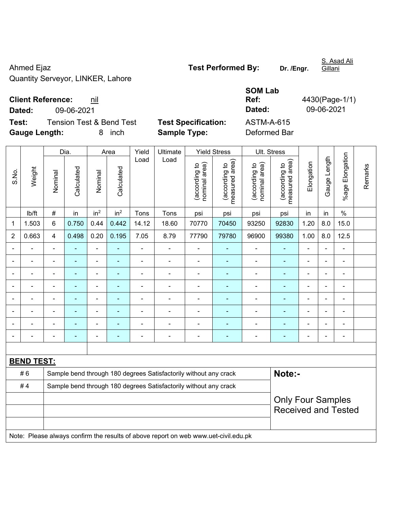Ahmed Ejaz **Test Performed By:** Dr. /Engr. Quantity Serveyor, LINKER, Lahore

S. Asad Ali

**Client Reference:** nil

**Test:** Tension Test & Bend Test **Test Specification:** ASTM-A-615 **Gauge Length:** 8 inch **Sample Type:** Deformed Bar

**SOM Lab Ref:** 4430(Page-1/1) **Dated:** 09-06-2021 **Dated:** 09-06-2021

|                          |                   |                         | Dia.           |                 | Area            | Yield<br>Ultimate<br><b>Yield Stress</b><br>Ult. Stress |                                                                                     |                                |                                 |                                |                                                        |                |                |                 |         |
|--------------------------|-------------------|-------------------------|----------------|-----------------|-----------------|---------------------------------------------------------|-------------------------------------------------------------------------------------|--------------------------------|---------------------------------|--------------------------------|--------------------------------------------------------|----------------|----------------|-----------------|---------|
| S.No.                    | Weight            | Nominal                 | Calculated     | Nominal         | Calculated      | Load                                                    | Load                                                                                | nominal area)<br>(according to | (according to<br>measured area) | nominal area)<br>(according to | (according to<br>measured area)                        | Elongation     | Gauge Length   | %age Elongation | Remarks |
|                          | lb/ft             | $\#$                    | in             | in <sup>2</sup> | in <sup>2</sup> | Tons                                                    | Tons                                                                                | psi                            | psi                             | psi                            | psi                                                    | in             | in             | $\%$            |         |
| 1                        | 1.503             | $6\phantom{a}$          | 0.750          | 0.44            | 0.442           | 14.12                                                   | 18.60                                                                               | 70770                          | 70450                           | 93250                          | 92830                                                  | 1.20           | 8.0            | 15.0            |         |
| $\overline{2}$           | 0.663             | $\overline{\mathbf{4}}$ | 0.498          | 0.20            | 0.195           | 7.05                                                    | 8.79                                                                                | 77790                          | 79780                           | 96900                          | 99380                                                  | 1.00           | 8.0            | 12.5            |         |
|                          |                   |                         |                | ä,              |                 |                                                         |                                                                                     | $\blacksquare$                 |                                 |                                |                                                        |                |                |                 |         |
| $\overline{\phantom{0}}$ | $\blacksquare$    | $\blacksquare$          | $\blacksquare$ | ÷               |                 | Ē,                                                      | $\blacksquare$                                                                      | $\blacksquare$                 | $\blacksquare$                  | $\blacksquare$                 | $\blacksquare$                                         | $\blacksquare$ | $\blacksquare$ | $\blacksquare$  |         |
| $\blacksquare$           | $\blacksquare$    | $\blacksquare$          | ۰              | ÷,              | $\blacksquare$  | $\blacksquare$                                          | $\blacksquare$                                                                      | $\blacksquare$                 | $\blacksquare$                  | $\blacksquare$                 | $\blacksquare$                                         | $\blacksquare$ |                | $\blacksquare$  |         |
|                          | ÷                 | $\blacksquare$          | ÷              | ÷               |                 | ÷,                                                      | $\blacksquare$                                                                      | $\blacksquare$                 |                                 | ÷                              | $\blacksquare$                                         | ä,             |                | $\blacksquare$  |         |
|                          |                   |                         | $\blacksquare$ | ä,              |                 | L,                                                      | ä,                                                                                  | $\blacksquare$                 |                                 | ä,                             | $\blacksquare$                                         | L,             |                | $\blacksquare$  |         |
|                          |                   |                         |                |                 |                 |                                                         |                                                                                     |                                |                                 |                                | ٠                                                      |                |                |                 |         |
|                          | $\overline{a}$    |                         |                | $\blacksquare$  |                 |                                                         | $\blacksquare$                                                                      | $\blacksquare$                 |                                 |                                |                                                        |                |                | $\blacksquare$  |         |
|                          |                   |                         | ۰              | $\blacksquare$  |                 | ٠                                                       | $\blacksquare$                                                                      | $\blacksquare$                 | $\blacksquare$                  | $\blacksquare$                 | $\blacksquare$                                         |                |                | $\blacksquare$  |         |
|                          |                   |                         |                |                 |                 |                                                         |                                                                                     |                                |                                 |                                |                                                        |                |                |                 |         |
|                          | <b>BEND TEST:</b> |                         |                |                 |                 |                                                         |                                                                                     |                                |                                 |                                |                                                        |                |                |                 |         |
|                          | #6                |                         |                |                 |                 |                                                         | Sample bend through 180 degrees Satisfactorily without any crack                    |                                |                                 |                                | Note:-                                                 |                |                |                 |         |
|                          | #4                |                         |                |                 |                 |                                                         | Sample bend through 180 degrees Satisfactorily without any crack                    |                                |                                 |                                |                                                        |                |                |                 |         |
|                          |                   |                         |                |                 |                 |                                                         |                                                                                     |                                |                                 |                                | <b>Only Four Samples</b><br><b>Received and Tested</b> |                |                |                 |         |
|                          |                   |                         |                |                 |                 |                                                         | Note: Please always confirm the results of above report on web www.uet-civil.edu.pk |                                |                                 |                                |                                                        |                |                |                 |         |

Gillani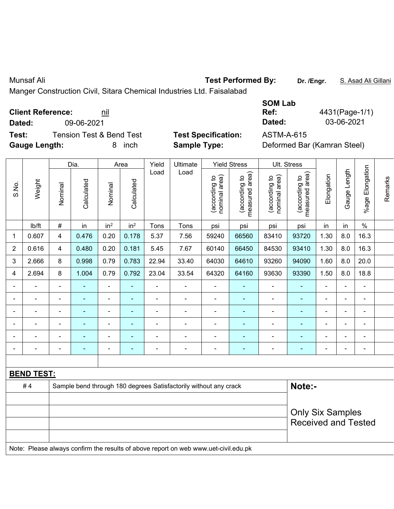|                | Manger Construction Civil, Sitara Chemical Industries Ltd. Faisalabad |                |                                     |                 |                          |                          |                                                                                     |                                |                                 |                                  |                                 |                |                |                 |         |
|----------------|-----------------------------------------------------------------------|----------------|-------------------------------------|-----------------|--------------------------|--------------------------|-------------------------------------------------------------------------------------|--------------------------------|---------------------------------|----------------------------------|---------------------------------|----------------|----------------|-----------------|---------|
| Dated:         | <b>Client Reference:</b>                                              |                | 09-06-2021                          | nil             |                          |                          |                                                                                     |                                |                                 | <b>SOM Lab</b><br>Ref:<br>Dated: |                                 |                | 03-06-2021     | 4431(Page-1/1)  |         |
| Test:          |                                                                       |                | <b>Tension Test &amp; Bend Test</b> |                 |                          |                          | <b>Test Specification:</b>                                                          |                                |                                 | <b>ASTM-A-615</b>                |                                 |                |                |                 |         |
|                | <b>Gauge Length:</b>                                                  |                |                                     | 8               | inch                     |                          | <b>Sample Type:</b>                                                                 |                                |                                 |                                  | Deformed Bar (Kamran Steel)     |                |                |                 |         |
|                |                                                                       |                | Dia.                                |                 | Area                     | Yield                    | Ultimate                                                                            |                                | <b>Yield Stress</b>             |                                  | Ult. Stress                     |                |                |                 |         |
| S.No.          | Weight                                                                | Nominal        | Calculated                          | Nominal         | Calculated               | Load                     | Load                                                                                | nominal area)<br>(according to | measured area)<br>(according to | (according to<br>nominal area)   | measured area)<br>(according to | Elongation     | Gauge Length   | %age Elongation | Remarks |
|                | lb/ft                                                                 | $\#$           | in                                  | in <sup>2</sup> | in <sup>2</sup>          | Tons                     | Tons                                                                                | psi                            | psi                             | psi                              | psi                             | in             | in             | $\%$            |         |
| 1              | 0.607                                                                 | 4              | 0.476                               | 0.20            | 0.178                    | 5.37                     | 7.56                                                                                | 59240                          | 66560                           | 83410                            | 93720                           | 1.30           | 8.0            | 16.3            |         |
| $\overline{c}$ | 0.616                                                                 | 4              | 0.480                               | 0.20            | 0.181                    | 5.45                     | 7.67                                                                                | 60140                          | 66450                           | 84530                            | 93410                           | 1.30           | 8.0            | 16.3            |         |
| 3              | 2.666                                                                 | 8              | 0.998                               | 0.79            | 0.783                    | 22.94                    | 33.40                                                                               | 64030                          | 64610                           | 93260                            | 94090                           | 1.60           | 8.0            | 20.0            |         |
| 4              | 2.694                                                                 | 8              | 1.004                               | 0.79            | 0.792                    | 23.04                    | 33.54                                                                               | 64320                          | 64160                           | 93630                            | 93390                           | 1.50           | 8.0            | 18.8            |         |
|                |                                                                       |                |                                     |                 |                          |                          |                                                                                     |                                |                                 |                                  |                                 |                |                |                 |         |
|                |                                                                       | ۰              |                                     | $\overline{a}$  | $\overline{\phantom{0}}$ | $\blacksquare$           | $\blacksquare$                                                                      | $\blacksquare$                 | $\overline{\phantom{0}}$        | $\overline{\phantom{0}}$         |                                 |                | $\blacksquare$ | $\blacksquare$  |         |
|                | $\blacksquare$                                                        | $\overline{a}$ |                                     | $\blacksquare$  | $\blacksquare$           | $\blacksquare$           | $\blacksquare$                                                                      | $\qquad \qquad \blacksquare$   | $\overline{\phantom{0}}$        | $\overline{\phantom{0}}$         | ٠                               | $\blacksquare$ | ÷              | $\blacksquare$  |         |
|                | ä,                                                                    | ÷              |                                     | $\blacksquare$  | $\blacksquare$           | $\overline{\phantom{a}}$ | $\blacksquare$                                                                      | $\blacksquare$                 | ۰                               | $\blacksquare$                   |                                 |                | ä,             | $\blacksquare$  |         |
|                |                                                                       |                |                                     |                 |                          |                          |                                                                                     |                                | ۰                               |                                  |                                 |                |                |                 |         |
|                |                                                                       | ۰              |                                     | $\overline{a}$  |                          | $\overline{a}$           | ۰                                                                                   |                                | ٠                               |                                  |                                 | $\blacksquare$ | $\blacksquare$ | $\blacksquare$  |         |
|                |                                                                       |                |                                     |                 |                          |                          |                                                                                     |                                |                                 |                                  |                                 |                |                |                 |         |
|                | <b>BEND TEST:</b>                                                     |                |                                     |                 |                          |                          |                                                                                     |                                |                                 |                                  |                                 |                |                |                 |         |
|                | #4                                                                    |                |                                     |                 |                          |                          | Sample bend through 180 degrees Satisfactorily without any crack                    |                                |                                 |                                  | Note:-                          |                |                |                 |         |
|                | <b>Only Six Samples</b><br><b>Received and Tested</b>                 |                |                                     |                 |                          |                          |                                                                                     |                                |                                 |                                  |                                 |                |                |                 |         |
|                |                                                                       |                |                                     |                 |                          |                          | Note: Please always confirm the results of above report on web www.uet-civil.edu.pk |                                |                                 |                                  |                                 |                |                |                 |         |

Munsaf Ali **Test Performed By: Dr. /Engr.** S. Asad Ali Gillani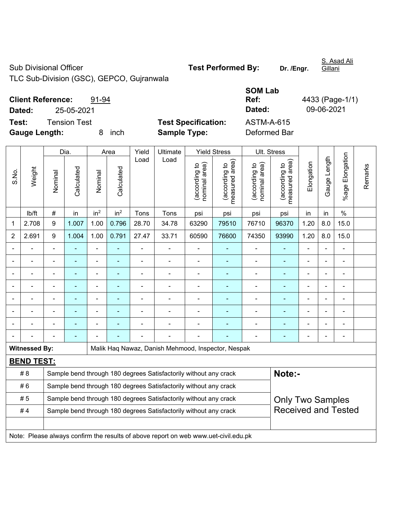TLC Sub-Division (GSC), GEPCO, Gujranwala

| <b>Client Reference:</b> | 91-94 |
|--------------------------|-------|
|--------------------------|-------|

**Dated:** 25-05-2021 **Dated:** 09-06-2021

**Test:** Tension Test **Test Specification:** ASTM-A-615 **Gauge Length:** 8 inch **Sample Type:** Deformed Bar

**Ref:** 4433 (Page-1/1)

**SOM Lab** 

|       |                      |                                                                                             | Dia.<br>Yield<br>Ultimate<br><b>Yield Stress</b><br>Area |                 |                 |                |                                                                  |                                |                                 |                                | Ult. Stress                        |                |                |                          |         |
|-------|----------------------|---------------------------------------------------------------------------------------------|----------------------------------------------------------|-----------------|-----------------|----------------|------------------------------------------------------------------|--------------------------------|---------------------------------|--------------------------------|------------------------------------|----------------|----------------|--------------------------|---------|
| S.No. | Weight               | Nominal                                                                                     | Calculated                                               | Nominal         | Calculated      | Load           | Load                                                             | nominal area)<br>(according to | measured area)<br>(according to | nominal area)<br>(according to | area)<br>(according to<br>measured | Elongation     | Gauge Length   | Elongation<br>$%$ age    | Remarks |
|       | lb/ft                | $\#$                                                                                        | in                                                       | in <sup>2</sup> | in <sup>2</sup> | Tons           | Tons                                                             | psi                            | psi                             | psi                            | psi                                | in             | in             | $\frac{0}{0}$            |         |
| 1     | 2.708                | 9                                                                                           | 1.007                                                    | 1.00            | 0.796           | 28.70          | 34.78                                                            | 63290                          | 79510                           | 76710                          | 96370                              | 1.20           | 8.0            | 15.0                     |         |
| 2     | 2.691                | 9                                                                                           | 1.004                                                    | 1.00            | 0.791           | 27.47          | 33.71                                                            | 60590                          | 76600                           | 74350                          | 93990                              | 1.20           | 8.0            | 15.0                     |         |
|       |                      |                                                                                             |                                                          | $\blacksquare$  |                 |                |                                                                  |                                |                                 |                                |                                    |                |                |                          |         |
|       |                      |                                                                                             | ÷                                                        | $\blacksquare$  |                 | ä,             | $\blacksquare$                                                   | $\overline{a}$                 | ÷,                              |                                | $\overline{a}$                     |                |                |                          |         |
|       |                      |                                                                                             |                                                          |                 |                 |                |                                                                  |                                |                                 |                                |                                    |                |                |                          |         |
|       |                      |                                                                                             | ۰                                                        | $\blacksquare$  | ۰               |                | $\blacksquare$                                                   | ٠                              | ۰                               | $\blacksquare$                 |                                    | $\blacksquare$ | $\blacksquare$ |                          |         |
|       |                      |                                                                                             | ۰                                                        | $\blacksquare$  | $\blacksquare$  | $\blacksquare$ | $\blacksquare$                                                   | $\blacksquare$                 | ۰                               | $\blacksquare$                 | $\blacksquare$                     | L,             | ä,             | $\blacksquare$           |         |
|       |                      |                                                                                             | ۰                                                        | $\blacksquare$  |                 |                |                                                                  | Ē,                             | ä,                              |                                |                                    | L,             | ä,             | $\overline{a}$           |         |
|       |                      |                                                                                             | ÷,                                                       | $\blacksquare$  |                 |                |                                                                  |                                |                                 |                                | $\blacksquare$                     |                |                |                          |         |
|       |                      |                                                                                             |                                                          |                 |                 |                |                                                                  |                                |                                 |                                |                                    |                |                | $\overline{\phantom{0}}$ |         |
|       | <b>Witnessed By:</b> |                                                                                             |                                                          |                 |                 |                | Malik Haq Nawaz, Danish Mehmood, Inspector, Nespak               |                                |                                 |                                |                                    |                |                |                          |         |
|       | <b>BEND TEST:</b>    |                                                                                             |                                                          |                 |                 |                |                                                                  |                                |                                 |                                |                                    |                |                |                          |         |
|       | # 8                  |                                                                                             |                                                          |                 |                 |                | Sample bend through 180 degrees Satisfactorily without any crack |                                |                                 |                                | Note:-                             |                |                |                          |         |
|       | #6                   | Sample bend through 180 degrees Satisfactorily without any crack                            |                                                          |                 |                 |                |                                                                  |                                |                                 |                                |                                    |                |                |                          |         |
|       | #5                   | Sample bend through 180 degrees Satisfactorily without any crack<br><b>Only Two Samples</b> |                                                          |                 |                 |                |                                                                  |                                |                                 |                                |                                    |                |                |                          |         |
|       | #4                   |                                                                                             |                                                          |                 |                 |                | Sample bend through 180 degrees Satisfactorily without any crack |                                |                                 |                                | <b>Received and Tested</b>         |                |                |                          |         |
|       |                      |                                                                                             |                                                          |                 |                 |                |                                                                  |                                |                                 |                                |                                    |                |                |                          |         |
|       |                      | Note: Please always confirm the results of above report on web www.uet-civil.edu.pk         |                                                          |                 |                 |                |                                                                  |                                |                                 |                                |                                    |                |                |                          |         |

Gillani

S. Asad Ali

Sub Divisional Officer **Test Performed By:** Dr. /Engr.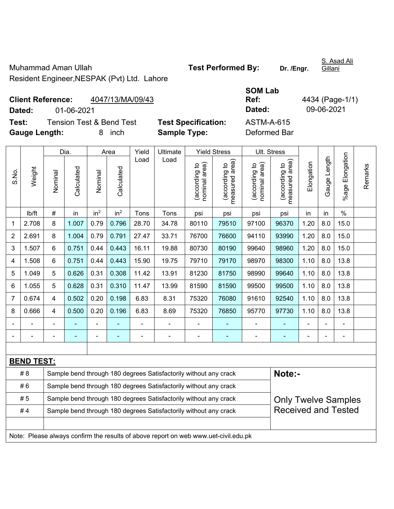Muhammad Aman Ullah **Test Performed By:** Dr. /Engr. Resident Engineer,NESPAK (Pvt) Ltd. Lahore

S. Asad Ali

Gillani

**Client Reference:** 4047/13/MA/09/43 **Dated:** 01-06-2021 **Dated:** 09-06-2021 **Test:** Tension Test & Bend Test **Test Specification:** ASTM-A-615

**Gauge Length:** 8 inch **Sample Type:** Deformed Bar

**SOM Lab Ref:** 4434 (Page-1/1)

|                |                   |                                                                  | Dia.           |                 | Area            | Ult. Stress<br>Yield<br>Ultimate<br><b>Yield Stress</b> |                                                                                     |                                |                                             |                                |                                             |                |                |                       |         |
|----------------|-------------------|------------------------------------------------------------------|----------------|-----------------|-----------------|---------------------------------------------------------|-------------------------------------------------------------------------------------|--------------------------------|---------------------------------------------|--------------------------------|---------------------------------------------|----------------|----------------|-----------------------|---------|
| S.No.          | Weight            | Nominal                                                          | Calculated     | Nominal         | Calculated      | Load                                                    | Load                                                                                | nominal area)<br>(according to | (according to<br>neasured area)<br>measured | nominal area)<br>(according to | (according to<br>measured area)<br>measured | Elongation     | Gauge Length   | Elongation<br>$%$ age | Remarks |
|                | lb/ft             | $\#$                                                             | in             | in <sup>2</sup> | in <sup>2</sup> | Tons                                                    | Tons                                                                                | psi                            | psi                                         | psi                            | psi                                         | in             | in             | $\%$                  |         |
| 1              | 2.708             | 8                                                                | 1.007          | 0.79            | 0.796           | 28.70                                                   | 34.78                                                                               | 80110                          | 79510                                       | 97100                          | 96370                                       | 1.20           | 8.0            | 15.0                  |         |
| 2              | 2.691             | 8                                                                | 1.004          | 0.79            | 0.791           | 27.47                                                   | 33.71                                                                               | 76700                          | 76600                                       | 94110                          | 93990                                       | 1.20           | 8.0            | 15.0                  |         |
| 3              | 1.507             | 6                                                                | 0.751          | 0.44            | 0.443           | 16.11                                                   | 19.88                                                                               | 80730                          | 80190                                       | 99640                          | 98960                                       | 1.20           | 8.0            | 15.0                  |         |
| 4              | 1.508             | 6                                                                | 0.751          | 0.44            | 0.443           | 15.90                                                   | 19.75                                                                               | 79710                          | 79170                                       | 98970                          | 98300                                       | 1.10           | 8.0            | 13.8                  |         |
| 5              | 1.049             | 5                                                                | 0.626          | 0.31            | 0.308           | 11.42                                                   | 13.91                                                                               | 81230                          | 81750                                       | 98990                          | 99640                                       | 1.10           | 8.0            | 13.8                  |         |
| 6              | 1.055             | 5                                                                | 0.628          | 0.31            | 0.310           | 11.47                                                   | 13.99                                                                               | 81590                          | 81590                                       | 99500                          | 99500                                       | 1.10           | 8.0            | 13.8                  |         |
| $\overline{7}$ | 0.674             | 4                                                                | 0.502          | 0.20            | 0.198           | 6.83                                                    | 8.31                                                                                | 75320                          | 76080                                       | 91610                          | 92540                                       | 1.10           | 8.0            | 13.8                  |         |
| 8              | 0.666             | 4                                                                | 0.500          | 0.20            | 0.196           | 6.83                                                    | 8.69                                                                                | 75320                          | 76850                                       | 95770                          | 97730                                       | 1.10           | 8.0            | 13.8                  |         |
|                |                   |                                                                  |                |                 |                 | $\blacksquare$                                          | $\blacksquare$                                                                      |                                |                                             | ۰                              |                                             |                |                | ÷,                    |         |
|                |                   | -                                                                | $\blacksquare$ | ÷               | ٠               | $\blacksquare$                                          | ÷,                                                                                  | $\overline{\phantom{a}}$       | $\blacksquare$                              | ۰                              | $\frac{1}{2}$                               | $\blacksquare$ | $\blacksquare$ | $\blacksquare$        |         |
|                |                   |                                                                  |                |                 |                 |                                                         |                                                                                     |                                |                                             |                                |                                             |                |                |                       |         |
|                | <b>BEND TEST:</b> |                                                                  |                |                 |                 |                                                         |                                                                                     |                                |                                             |                                |                                             |                |                |                       |         |
|                | # 8               |                                                                  |                |                 |                 |                                                         | Sample bend through 180 degrees Satisfactorily without any crack                    |                                |                                             |                                | Note:-                                      |                |                |                       |         |
|                | #6                | Sample bend through 180 degrees Satisfactorily without any crack |                |                 |                 |                                                         |                                                                                     |                                |                                             |                                |                                             |                |                |                       |         |
|                | #5                |                                                                  |                |                 |                 |                                                         | Sample bend through 180 degrees Satisfactorily without any crack                    |                                |                                             |                                | <b>Only Twelve Samples</b>                  |                |                |                       |         |
|                | #4                |                                                                  |                |                 |                 |                                                         | Sample bend through 180 degrees Satisfactorily without any crack                    |                                |                                             |                                | <b>Received and Tested</b>                  |                |                |                       |         |
|                |                   |                                                                  |                |                 |                 |                                                         |                                                                                     |                                |                                             |                                |                                             |                |                |                       |         |
|                |                   |                                                                  |                |                 |                 |                                                         | Note: Please always confirm the results of above report on web www.uet-civil.edu.pk |                                |                                             |                                |                                             |                |                |                       |         |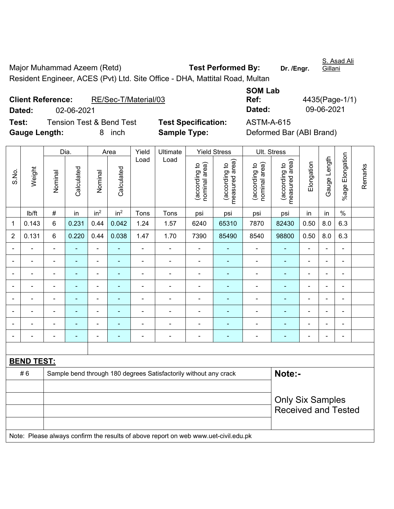Major Muhammad Azeem (Retd) **Test Performed By:** Dr. /Engr. Resident Engineer, ACES (Pvt) Ltd. Site Office - DHA, Mattital Road, Multan

**Client Reference:** RE/Sec-T/Material/03 **Dated:** 02-06-2021 **Dated:** 09-06-2021 **Test:** Tension Test & Bend Test **Test Specification:** ASTM-A-615

| <b>SOM Lab</b> |                |
|----------------|----------------|
| Ref:           | 4435(Page-1/1) |
| Dated:         | 09-06-2021     |
| ACTM A CAE     |                |

**Gauge Length:** 8 inch **Sample Type:** Deformed Bar (ABI Brand)

Dia. | Area | Yield | Ultimate | Yield Stress | Ult. Stress %age Elongation %age Elongation Gauge Length Load Load Gauge Length (according to<br>measured area) measured area) (according to<br>measured area) measured area) (according to<br>nominal area) (according to<br>nominal area) nominal area) nominal area) Elongation Elongation (according to (according to (according to (according to Remarks Remarks Weight **Calculated Calculated** Calculated Calculated S.No. Nominal Nominal Nominal Nominal <code>ib/ft</code>  $\mid$  #  $\mid$  in  $\mid$  in<sup>2</sup>  $\mid$  Tons  $\mid$  Tons  $\mid$  psi  $\mid$  psi  $\mid$  psi  $\mid$  in  $\mid$  in  $\mid$  % 1 | 0.143 | 6 | 0.231 | 0.44 | 0.042 | 1.24 | 1.57 | 6240 | 65310 | 7870 | 82430 | 0.50 | 8.0 | 6.3 2 | 0.131 | 6 | 0.220 | 0.44 | 0.038 | 1.47 | 1.70 | 7390 | 85490 | 8540 | 98800 | 0.50 | 8.0 | 6.3 - - - - - - - - - - - - - - - - - - - - - - - - - - - - - - - - - - - - - - - - - - - - - - - - - - - - - - - - - - - - - - - - - - - - - - - - - - - - - - - - - - - - - - - - - - - - - - - - - - - - - - - - - - - - - - - - - - - - - - - - **BEND TEST:**  # 6 Sample bend through 180 degrees Satisfactorily without any crack **Note:- Note:** Only Six Samples Received and Tested Note: Please always confirm the results of above report on web www.uet-civil.edu.pk

**Gillani**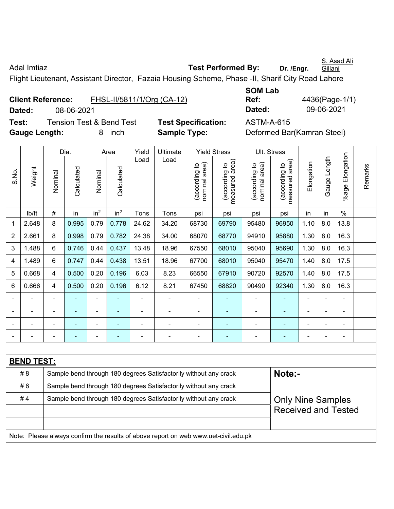S. Asad Ali

Adal Imtiaz **Adal Imtiaz Test Performed By:** Dr. /Engr.

Gillani

Flight Lieutenant, Assistant Director, Fazaia Housing Scheme, Phase -II, Sharif City Road Lahore

|                      | <b>Client Reference:</b> | FHSL-II/5811/1/Org (CA-12)          |                            | Ref:              |
|----------------------|--------------------------|-------------------------------------|----------------------------|-------------------|
| Dated:               | 08-06-2021               |                                     |                            | Dated:            |
| Test:                |                          | <b>Tension Test &amp; Bend Test</b> | <b>Test Specification:</b> | <b>ASTM-A-615</b> |
| <b>Gauge Length:</b> |                          | inch                                | <b>Sample Type:</b>        | Deformed Ba       |

**SOM Lab Ref:** 4436(Page-1/1) **Dated:** 08-06-2021 **Dated:** 09-06-2021

**e: Deformed Bar(Kamran Steel)** 

|                                                                        |                                                                                     |                                                                  | Dia.           |                 | Area            | Yield | Ultimate                                                         |                                | <b>Yield Stress</b>                         |                                | Ult. Stress                     |                |                |                     |         |
|------------------------------------------------------------------------|-------------------------------------------------------------------------------------|------------------------------------------------------------------|----------------|-----------------|-----------------|-------|------------------------------------------------------------------|--------------------------------|---------------------------------------------|--------------------------------|---------------------------------|----------------|----------------|---------------------|---------|
| S.No.                                                                  | Weight                                                                              | Nominal                                                          | Calculated     | Nominal         | Calculated      | Load  | Load                                                             | (according to<br>nominal area) | (according to<br>measured area)<br>measured | nominal area)<br>(according to | (according to<br>measured area) | Elongation     | Gauge Length   | Elongation<br>%agel | Remarks |
|                                                                        | lb/ft                                                                               | $\#$                                                             | in             | in <sup>2</sup> | in <sup>2</sup> | Tons  | Tons                                                             | psi                            | psi                                         | psi                            | psi                             | in             | in             | $\%$                |         |
| 1                                                                      | 2.648                                                                               | 8                                                                | 0.995          | 0.79            | 0.778           | 24.62 | 34.20                                                            | 68730                          | 69790                                       | 95480                          | 96950                           | 1.10           | 8.0            | 13.8                |         |
| 2                                                                      | 2.661                                                                               | 8                                                                | 0.998          | 0.79            | 0.782           | 24.38 | 34.00                                                            | 68070                          | 68770                                       | 94910                          | 95880                           | 1.30           | 8.0            | 16.3                |         |
| 3                                                                      | 1.488                                                                               | 6                                                                | 0.746          | 0.44            | 0.437           | 13.48 | 18.96                                                            | 67550                          | 68010                                       | 95040                          | 95690                           | 1.30           | 8.0            | 16.3                |         |
| 4                                                                      | 1.489                                                                               | 6                                                                | 0.747          | 0.44            | 0.438           | 13.51 | 18.96                                                            | 67700                          | 68010                                       | 95040                          | 95470                           | 1.40           | 8.0            | 17.5                |         |
| 5                                                                      | 0.668                                                                               | 4                                                                | 0.500          | 0.20            | 0.196           | 6.03  | 8.23                                                             | 66550                          | 67910                                       | 90720                          | 92570                           | 1.40           | 8.0            | 17.5                |         |
| 6                                                                      | 0.666                                                                               | 4                                                                | 0.500          | 0.20            | 0.196           | 6.12  | 8.21                                                             | 67450                          | 68820                                       | 90490                          | 92340                           | 1.30           | 8.0            | 16.3                |         |
|                                                                        |                                                                                     |                                                                  |                | $\blacksquare$  |                 |       |                                                                  |                                |                                             | ä,                             |                                 | $\blacksquare$ | L,             | $\blacksquare$      |         |
|                                                                        |                                                                                     |                                                                  |                |                 |                 |       | $\blacksquare$                                                   | ÷,                             |                                             | $\blacksquare$                 |                                 |                | $\blacksquare$ | ۰                   |         |
|                                                                        |                                                                                     |                                                                  |                | $\blacksquare$  |                 |       | $\blacksquare$                                                   | $\blacksquare$                 |                                             | $\blacksquare$                 | $\blacksquare$                  |                | $\blacksquare$ | $\blacksquare$      |         |
|                                                                        |                                                                                     |                                                                  | $\blacksquare$ | $\blacksquare$  |                 |       | $\overline{a}$                                                   | Ē,                             | $\overline{\phantom{a}}$                    | ÷                              | $\blacksquare$                  |                | ÷              | ÷,                  |         |
|                                                                        |                                                                                     |                                                                  |                |                 |                 |       |                                                                  |                                |                                             |                                |                                 |                |                |                     |         |
|                                                                        | <b>BEND TEST:</b>                                                                   |                                                                  |                |                 |                 |       |                                                                  |                                |                                             |                                |                                 |                |                |                     |         |
|                                                                        | # 8                                                                                 |                                                                  |                |                 |                 |       | Sample bend through 180 degrees Satisfactorily without any crack |                                |                                             |                                | Note:-                          |                |                |                     |         |
|                                                                        | #6                                                                                  | Sample bend through 180 degrees Satisfactorily without any crack |                |                 |                 |       |                                                                  |                                |                                             |                                |                                 |                |                |                     |         |
| #4<br>Sample bend through 180 degrees Satisfactorily without any crack |                                                                                     |                                                                  |                |                 |                 |       |                                                                  | <b>Only Nine Samples</b>       |                                             |                                |                                 |                |                |                     |         |
|                                                                        |                                                                                     |                                                                  |                |                 |                 |       |                                                                  | <b>Received and Tested</b>     |                                             |                                |                                 |                |                |                     |         |
|                                                                        |                                                                                     |                                                                  |                |                 |                 |       |                                                                  |                                |                                             |                                |                                 |                |                |                     |         |
|                                                                        | Note: Please always confirm the results of above report on web www.uet-civil.edu.pk |                                                                  |                |                 |                 |       |                                                                  |                                |                                             |                                |                                 |                |                |                     |         |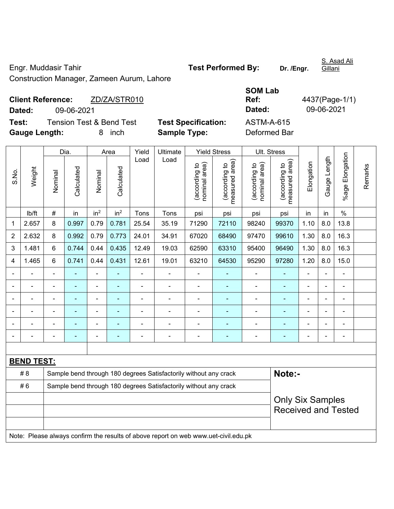Engr. Muddasir Tahir **Test Performed By:** Dr. /Engr.

S. Asad Ali Gillani

Construction Manager, Zameen Aurum, Lahore

|               | <b>Client Reference:</b> | ZD/ZA/STR010                        |
|---------------|--------------------------|-------------------------------------|
| Dated:        | 09-06-2021               |                                     |
| Test:         |                          | <b>Tension Test &amp; Bend Test</b> |
| Cauga Langth: |                          | $0$ inch                            |

**Test Specification:** ASTM-A-615 **Gauge Length:** 8 inch **Sample Type:** Deformed Bar

**SOM Lab Ref:** 4437(Page-1/1) **Dated:** 09-06-2021 **Dated:** 09-06-2021

|                |                                                                                     |                                                                  | Dia.       |                          | Area                     | Yield                                                 | Ultimate                                                         |                                | <b>Yield Stress</b>             |                                | Ult. Stress                     |                |              |                 |         |
|----------------|-------------------------------------------------------------------------------------|------------------------------------------------------------------|------------|--------------------------|--------------------------|-------------------------------------------------------|------------------------------------------------------------------|--------------------------------|---------------------------------|--------------------------------|---------------------------------|----------------|--------------|-----------------|---------|
| S.No.          | Weight                                                                              | Nominal                                                          | Calculated | Nominal                  | Calculated               | Load                                                  | Load                                                             | nominal area)<br>(according to | (according to<br>measured area) | (according to<br>nominal area) | (according to<br>measured area) | Elongation     | Gauge Length | %age Elongation | Remarks |
|                | lb/ft                                                                               | $\#$                                                             | in         | in <sup>2</sup>          | in <sup>2</sup>          | Tons                                                  | Tons                                                             | psi                            | psi                             | psi                            | psi                             | in             | in           | $\%$            |         |
| 1              | 2.657                                                                               | 8                                                                | 0.997      | 0.79                     | 0.781                    | 25.54                                                 | 35.19                                                            | 71290                          | 72110                           | 98240                          | 99370                           | 1.10           | 8.0          | 13.8            |         |
| $\overline{2}$ | 2.632                                                                               | 8                                                                | 0.992      | 0.79                     | 0.773                    | 24.01                                                 | 34.91                                                            | 67020                          | 68490                           | 97470                          | 99610                           | 1.30           | 8.0          | 16.3            |         |
| 3              | 1.481                                                                               | 6                                                                | 0.744      | 0.44                     | 0.435                    | 12.49                                                 | 19.03                                                            | 62590                          | 63310                           | 95400                          | 96490                           | 1.30           | 8.0          | 16.3            |         |
| 4              | 1.465                                                                               | 6                                                                | 0.741      | 0.44                     | 0.431                    | 12.61                                                 | 19.01                                                            | 63210                          | 64530                           | 95290                          | 97280                           | 1.20           | 8.0          | 15.0            |         |
|                | ÷.                                                                                  | $\blacksquare$                                                   | L,         | ÷,                       | ä,                       | $\blacksquare$                                        | $\blacksquare$                                                   | ä,                             | $\blacksquare$                  | $\blacksquare$                 | $\blacksquare$                  | ä,             | ä,           | $\blacksquare$  |         |
|                | $\blacksquare$                                                                      | $\blacksquare$                                                   | ÷,         | $\blacksquare$           | $\blacksquare$           | $\overline{\phantom{a}}$                              | ÷.                                                               | $\blacksquare$                 | $\blacksquare$                  | $\blacksquare$                 | $\blacksquare$                  | $\overline{a}$ |              | ä,              |         |
|                | $\blacksquare$                                                                      |                                                                  | L,         | $\blacksquare$           |                          | L,                                                    | ä,                                                               | $\blacksquare$                 |                                 | $\blacksquare$                 | $\blacksquare$                  | $\overline{a}$ |              | $\blacksquare$  |         |
|                |                                                                                     |                                                                  |            | $\overline{\phantom{0}}$ |                          | Ē,                                                    |                                                                  |                                |                                 | ä,                             |                                 |                |              | $\blacksquare$  |         |
|                |                                                                                     |                                                                  |            | $\blacksquare$           |                          |                                                       |                                                                  | $\blacksquare$                 |                                 |                                |                                 |                |              | ۰               |         |
| $\blacksquare$ |                                                                                     |                                                                  | ÷,         | $\blacksquare$           | $\overline{\phantom{a}}$ | $\blacksquare$                                        | Ě.                                                               | $\blacksquare$                 | $\blacksquare$                  | $\blacksquare$                 | $\blacksquare$                  | $\blacksquare$ | ÷            | $\blacksquare$  |         |
|                |                                                                                     |                                                                  |            |                          |                          |                                                       |                                                                  |                                |                                 |                                |                                 |                |              |                 |         |
|                | <b>BEND TEST:</b>                                                                   |                                                                  |            |                          |                          |                                                       |                                                                  |                                |                                 |                                |                                 |                |              |                 |         |
|                | # 8                                                                                 |                                                                  |            |                          |                          |                                                       | Sample bend through 180 degrees Satisfactorily without any crack |                                |                                 |                                | Note:-                          |                |              |                 |         |
|                | #6                                                                                  | Sample bend through 180 degrees Satisfactorily without any crack |            |                          |                          |                                                       |                                                                  |                                |                                 |                                |                                 |                |              |                 |         |
|                |                                                                                     |                                                                  |            |                          |                          | <b>Only Six Samples</b><br><b>Received and Tested</b> |                                                                  |                                |                                 |                                |                                 |                |              |                 |         |
|                | Note: Please always confirm the results of above report on web www.uet-civil.edu.pk |                                                                  |            |                          |                          |                                                       |                                                                  |                                |                                 |                                |                                 |                |              |                 |         |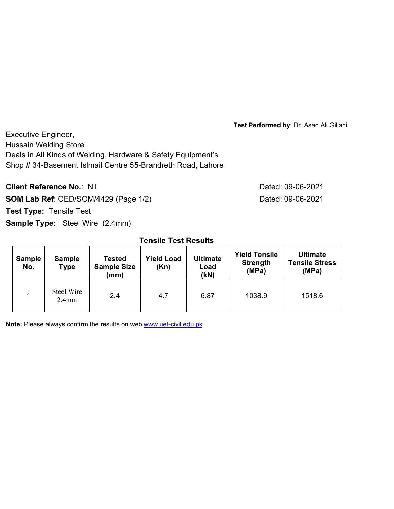**Test Performed by**: Dr. Asad Ali Gillani

Executive Engineer, Hussain Welding Store Deals in All Kinds of Welding, Hardware & Safety Equipment's Shop # 34-Basement Islmail Centre 55-Brandreth Road, Lahore

**Client Reference No.: Nil Client Reference No.: Nil Dated: 09-06-2021 SOM Lab Ref**: CED/SOM/4429 (Page 1/2) Dated: 09-06-2021 **Test Type:** Tensile Test **Sample Type:** Steel Wire (2.4mm)

### **Tensile Test Results**

| <b>Sample</b><br>No. | <b>Sample</b><br><b>Type</b> | <b>Tested</b><br><b>Sample Size</b><br>(mm) | <b>Yield Load</b><br>(Kn) | <b>Ultimate</b><br>Load<br>(kN) | <b>Yield Tensile</b><br><b>Strength</b><br>(MPa) | <b>Ultimate</b><br><b>Tensile Stress</b><br>(MPa) |
|----------------------|------------------------------|---------------------------------------------|---------------------------|---------------------------------|--------------------------------------------------|---------------------------------------------------|
|                      | Steel Wire<br>$2.4$ mm       | 2.4                                         | 4.7                       | 6.87                            | 1038.9                                           | 1518.6                                            |

**Note:** Please always confirm the results on web www.uet-civil.edu.pk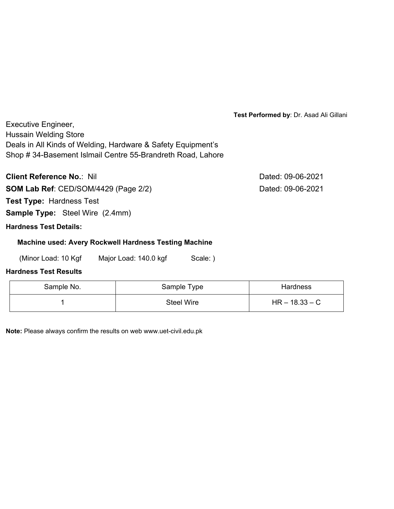**Test Performed by**: Dr. Asad Ali Gillani

Executive Engineer, Hussain Welding Store Deals in All Kinds of Welding, Hardware & Safety Equipment's Shop # 34-Basement Islmail Centre 55-Brandreth Road, Lahore

**Client Reference No.:** Nil **Dated: 09-06-2021** 

**SOM Lab Ref**: CED/SOM/4429 (Page 2/2) Dated: 09-06-2021

**Test Type:** Hardness Test

**Sample Type:** Steel Wire (2.4mm)

# **Hardness Test Details:**

### **Machine used: Avery Rockwell Hardness Testing Machine**

(Minor Load: 10 Kgf Major Load: 140.0 kgf Scale: )

# **Hardness Test Results**

| Sample No. | Sample Type       | <b>Hardness</b>  |
|------------|-------------------|------------------|
|            | <b>Steel Wire</b> | $HR - 18.33 - C$ |

**Note:** Please always confirm the results on web www.uet-civil.edu.pk